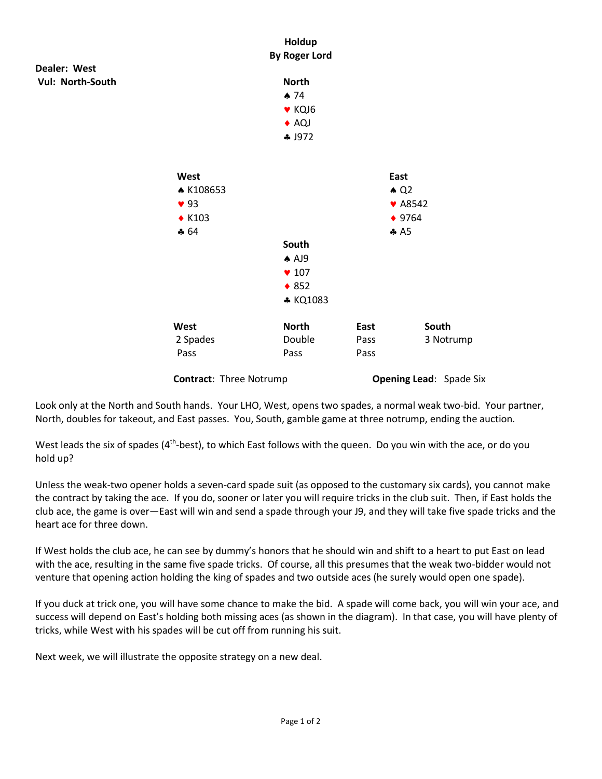

**Contract:** Three Notrump **Opening Lead:** Spade Six

Look only at the North and South hands. Your LHO, West, opens two spades, a normal weak two-bid. Your partner, North, doubles for takeout, and East passes. You, South, gamble game at three notrump, ending the auction.

West leads the six of spades (4<sup>th</sup>-best), to which East follows with the queen. Do you win with the ace, or do you hold up?

Unless the weak-two opener holds a seven-card spade suit (as opposed to the customary six cards), you cannot make the contract by taking the ace. If you do, sooner or later you will require tricks in the club suit. Then, if East holds the club ace, the game is over—East will win and send a spade through your J9, and they will take five spade tricks and the heart ace for three down.

If West holds the club ace, he can see by dummy's honors that he should win and shift to a heart to put East on lead with the ace, resulting in the same five spade tricks. Of course, all this presumes that the weak two-bidder would not venture that opening action holding the king of spades and two outside aces (he surely would open one spade).

If you duck at trick one, you will have some chance to make the bid. A spade will come back, you will win your ace, and success will depend on East's holding both missing aces (as shown in the diagram). In that case, you will have plenty of tricks, while West with his spades will be cut off from running his suit.

Next week, we will illustrate the opposite strategy on a new deal.